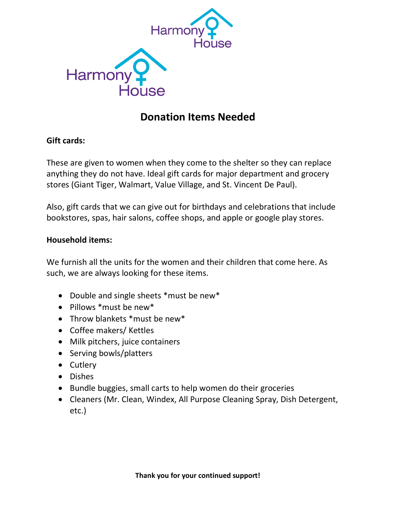

# **Donation Items Needed**

## **Gift cards:**

These are given to women when they come to the shelter so they can replace anything they do not have. Ideal gift cards for major department and grocery stores (Giant Tiger, Walmart, Value Village, and St. Vincent De Paul).

Also, gift cards that we can give out for birthdays and celebrations that include bookstores, spas, hair salons, coffee shops, and apple or google play stores.

#### **Household items:**

We furnish all the units for the women and their children that come here. As such, we are always looking for these items.

- Double and single sheets \*must be new\*
- Pillows \*must be new\*
- Throw blankets \*must be new\*
- Coffee makers/ Kettles
- Milk pitchers, juice containers
- Serving bowls/platters
- Cutlery
- Dishes
- Bundle buggies, small carts to help women do their groceries
- Cleaners (Mr. Clean, Windex, All Purpose Cleaning Spray, Dish Detergent, etc.)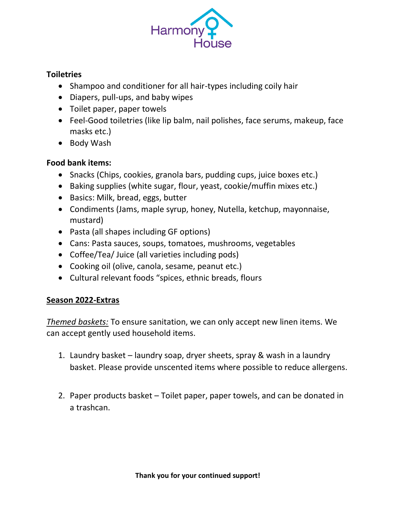

### **Toiletries**

- Shampoo and conditioner for all hair-types including coily hair
- Diapers, pull-ups, and baby wipes
- Toilet paper, paper towels
- Feel-Good toiletries (like lip balm, nail polishes, face serums, makeup, face masks etc.)
- Body Wash

# **Food bank items:**

- Snacks (Chips, cookies, granola bars, pudding cups, juice boxes etc.)
- Baking supplies (white sugar, flour, yeast, cookie/muffin mixes etc.)
- Basics: Milk, bread, eggs, butter
- Condiments (Jams, maple syrup, honey, Nutella, ketchup, mayonnaise, mustard)
- Pasta (all shapes including GF options)
- Cans: Pasta sauces, soups, tomatoes, mushrooms, vegetables
- Coffee/Tea/ Juice (all varieties including pods)
- Cooking oil (olive, canola, sesame, peanut etc.)
- Cultural relevant foods "spices, ethnic breads, flours

#### **Season 2022-Extras**

*Themed baskets:* To ensure sanitation, we can only accept new linen items. We can accept gently used household items.

- 1. Laundry basket laundry soap, dryer sheets, spray & wash in a laundry basket. Please provide unscented items where possible to reduce allergens.
- 2. Paper products basket Toilet paper, paper towels, and can be donated in a trashcan.